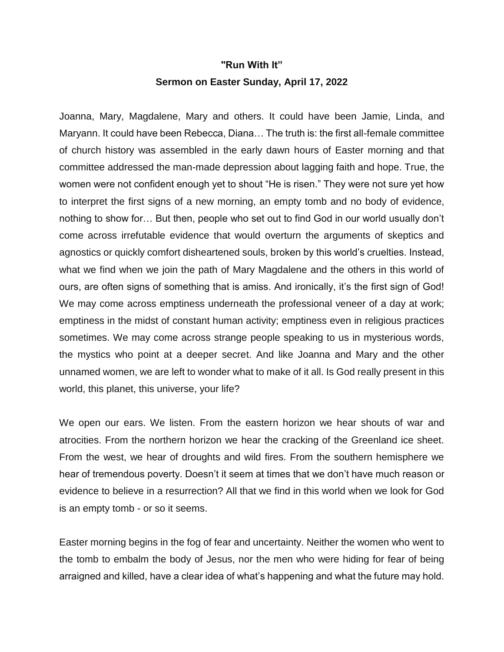## **"Run With It" Sermon on Easter Sunday, April 17, 2022**

Joanna, Mary, Magdalene, Mary and others. It could have been Jamie, Linda, and Maryann. It could have been Rebecca, Diana… The truth is: the first all-female committee of church history was assembled in the early dawn hours of Easter morning and that committee addressed the man-made depression about lagging faith and hope. True, the women were not confident enough yet to shout "He is risen." They were not sure yet how to interpret the first signs of a new morning, an empty tomb and no body of evidence, nothing to show for… But then, people who set out to find God in our world usually don't come across irrefutable evidence that would overturn the arguments of skeptics and agnostics or quickly comfort disheartened souls, broken by this world's cruelties. Instead, what we find when we join the path of Mary Magdalene and the others in this world of ours, are often signs of something that is amiss. And ironically, it's the first sign of God! We may come across emptiness underneath the professional veneer of a day at work; emptiness in the midst of constant human activity; emptiness even in religious practices sometimes. We may come across strange people speaking to us in mysterious words, the mystics who point at a deeper secret. And like Joanna and Mary and the other unnamed women, we are left to wonder what to make of it all. Is God really present in this world, this planet, this universe, your life?

We open our ears. We listen. From the eastern horizon we hear shouts of war and atrocities. From the northern horizon we hear the cracking of the Greenland ice sheet. From the west, we hear of droughts and wild fires. From the southern hemisphere we hear of tremendous poverty. Doesn't it seem at times that we don't have much reason or evidence to believe in a resurrection? All that we find in this world when we look for God is an empty tomb - or so it seems.

Easter morning begins in the fog of fear and uncertainty. Neither the women who went to the tomb to embalm the body of Jesus, nor the men who were hiding for fear of being arraigned and killed, have a clear idea of what's happening and what the future may hold.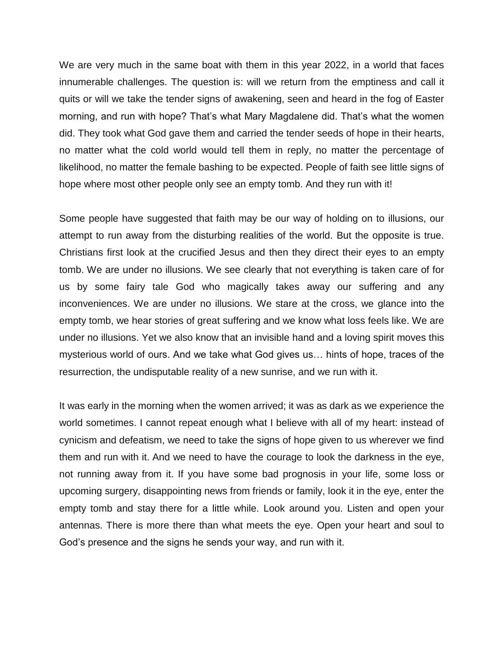We are very much in the same boat with them in this year 2022, in a world that faces innumerable challenges. The question is: will we return from the emptiness and call it quits or will we take the tender signs of awakening, seen and heard in the fog of Easter morning, and run with hope? That's what Mary Magdalene did. That's what the women did. They took what God gave them and carried the tender seeds of hope in their hearts, no matter what the cold world would tell them in reply, no matter the percentage of likelihood, no matter the female bashing to be expected. People of faith see little signs of hope where most other people only see an empty tomb. And they run with it!

Some people have suggested that faith may be our way of holding on to illusions, our attempt to run away from the disturbing realities of the world. But the opposite is true. Christians first look at the crucified Jesus and then they direct their eyes to an empty tomb. We are under no illusions. We see clearly that not everything is taken care of for us by some fairy tale God who magically takes away our suffering and any inconveniences. We are under no illusions. We stare at the cross, we glance into the empty tomb, we hear stories of great suffering and we know what loss feels like. We are under no illusions. Yet we also know that an invisible hand and a loving spirit moves this mysterious world of ours. And we take what God gives us… hints of hope, traces of the resurrection, the undisputable reality of a new sunrise, and we run with it.

It was early in the morning when the women arrived; it was as dark as we experience the world sometimes. I cannot repeat enough what I believe with all of my heart: instead of cynicism and defeatism, we need to take the signs of hope given to us wherever we find them and run with it. And we need to have the courage to look the darkness in the eye, not running away from it. If you have some bad prognosis in your life, some loss or upcoming surgery, disappointing news from friends or family, look it in the eye, enter the empty tomb and stay there for a little while. Look around you. Listen and open your antennas. There is more there than what meets the eye. Open your heart and soul to God's presence and the signs he sends your way, and run with it.